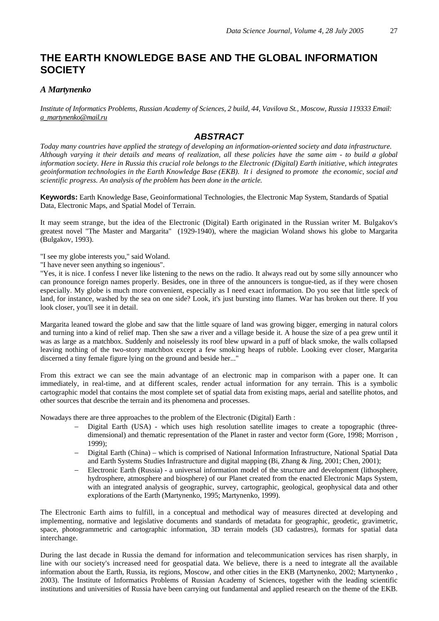## **THE EARTH KNOWLEDGE BASE AND THE GLOBAL INFORMATION SOCIETY**

## *A Martynenko*

*Institute of Informatics Problems, Russian Academy of Sciences, 2 build, 44, Vavilova St., Moscow, Russia 119333 Email: a\_martynenko@mail.ru*

## *ABSTRACT*

*Today many countries have applied the strategy of developing an information-oriented society and data infrastructure. Although varying it their details and means of realization, all these policies have the same aim - to build a global information society. Here in Russia this crucial role belongs to the Electronic (Digital) Earth initiative, which integrates geoinformation technologies in the Earth Knowledge Base (EKB). It i designed to promote the economic, social and scientific progress. An analysis of the problem has been done in the article.* 

**Keywords:** Earth Knowledge Base, Geoinformational Technologies, the Electronic Map System, Standards of Spatial Data, Electronic Maps, and Spatial Model of Terrain.

It may seem strange, but the idea of the Electronic (Digital) Earth originated in the Russian writer M. Bulgakov's greatest novel "The Master and Margarita" (1929-1940), where the magician Woland shows his globe to Margarita (Bulgakov, 1993).

"I see my globe interests you," said Woland.

"I have never seen anything so ingenious".

"Yes, it is nice. I confess I never like listening to the news on the radio. It always read out by some silly announcer who can pronounce foreign names properly. Besides, one in three of the announcers is tongue-tied, as if they were chosen especially. My globe is much more convenient, especially as I need exact information. Do you see that little speck of land, for instance, washed by the sea on one side? Look, it's just bursting into flames. War has broken out there. If you look closer, you'll see it in detail.

Margarita leaned toward the globe and saw that the little square of land was growing bigger, emerging in natural colors and turning into a kind of relief map. Then she saw a river and a village beside it. A house the size of a pea grew until it was as large as a matchbox. Suddenly and noiselessly its roof blew upward in a puff of black smoke, the walls collapsed leaving nothing of the two-story matchbox except a few smoking heaps of rubble. Looking ever closer, Margarita discerned a tiny female figure lying on the ground and beside her..."

From this extract we can see the main advantage of an electronic map in comparison with a paper one. It can immediately, in real-time, and at different scales, render actual information for any terrain. This is a symbolic cartographic model that contains the most complete set of spatial data from existing maps, aerial and satellite photos, and other sources that describe the terrain and its phenomena and processes.

Nowadays there are three approaches to the problem of the Electronic (Digital) Earth :

- − Digital Earth (USA) which uses high resolution satellite images to create a topographic (threedimensional) and thematic representation of the Planet in raster and vector form (Gore, 1998; Morrison , 1999);
- − Digital Earth (China) which is comprised of National Information Infrastructure, National Spatial Data and Earth Systems Studies Infrastructure and digital mapping (Bi, Zhang & Jing, 2001; Chen, 2001);
- − Electronic Earth (Russia) a universal information model of the structure and development (lithosphere, hydrosphere, atmosphere and biosphere) of our Planet created from the enacted Electronic Maps System, with an integrated analysis of geographic, survey, cartographic, geological, geophysical data and other explorations of the Earth (Martynenko, 1995; Martynenko, 1999).

The Electronic Earth aims to fulfill, in a conceptual and methodical way of measures directed at developing and implementing, normative and legislative documents and standards of metadata for geographic, geodetic, gravimetric, space, photogrammetric and cartographic information, 3D terrain models (3D cadastres), formats for spatial data interchange.

During the last decade in Russia the demand for information and telecommunication services has risen sharply, in line with our society's increased need for geospatial data. We believe, there is a need to integrate all the available information about the Earth, Russia, its regions, Moscow, and other cities in the EKB (Martynenko, 2002; Martynenko , 2003). The Institute of Informatics Problems of Russian Academy of Sciences, together with the leading scientific institutions and universities of Russia have been carrying out fundamental and applied research on the theme of the EKB.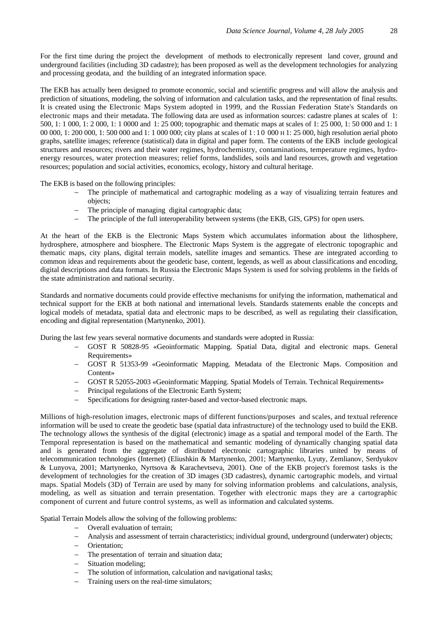For the first time during the project the development of methods to electronically represent land cover, ground and underground facilities (including 3D cadastre); has been proposed as well as the development technologies for analyzing and processing geodata, and the building of an integrated information space.

The EKB has actually been designed to promote economic, social and scientific progress and will allow the analysis and prediction of situations, modeling, the solving of information and calculation tasks, and the representation of final results. It is created using the Electronic Maps System adopted in 1999, and the Russian Federation State's Standards on electronic maps and their metadata. The following data are used as information sources: cadastre planes at scales of 1: 500, 1: 1 000, 1: 2 000, 1: 1 0000 and 1: 25 000; topographic and thematic maps at scales of 1: 25 000, 1: 50 000 and 1: 1 00 000, 1: 200 000, 1: 500 000 and 1: 1 000 000; city plans at scales of 1 : 1 0 000 H 1: 25 000, high resolution aerial photo graphs, satellite images; reference (statistical) data in digital and paper form. The contents of the EKB include geological structures and resources; rivers and their water regimes, hydrochemistry, contaminations, temperature regimes, hydroenergy resources, water protection measures; relief forms, landslides, soils and land resources, growth and vegetation resources; population and social activities, economics, ecology, history and cultural heritage.

The EKB is based on the following principles:

- The principle of mathematical and cartographic modeling as a way of visualizing terrain features and objects;
- The principle of managing digital cartographic data;
- The principle of the full interoperability between systems (the EKB, GIS, GPS) for open users.

At the heart of the EKB is the Electronic Maps System which accumulates information about the lithosphere, hydrosphere, atmosphere and biosphere. The Electronic Maps System is the aggregate of electronic topographic and thematic maps, city plans, digital terrain models, satellite images and semantics. These are integrated according to common ideas and requirements about the geodetic base, content, legends, as well as about classifications and encoding, digital descriptions and data formats. In Russia the Electronic Maps System is used for solving problems in the fields of the state administration and national security.

Standards and normative documents could provide effective mechanisms for unifying the information, mathematical and technical support for the EKB at both national and international levels. Standards statements enable the concepts and logical models of metadata, spatial data and electronic maps to be described, as well as regulating their classification, encoding and digital representation (Martynenko, 2001).

During the last few years several normative documents and standards were adopted in Russia:

- GOST R 50828-95 «Geoinformatic Mapping. Spatial Data, digital and electronic maps. General Requirements»
- − GOST R 51353-99 «Geoinformatic Mapping. Metadata of the Electronic Maps. Composition and Content»
- − GOST R 52055-2003 «Geoinformatic Mapping. Spatial Models of Terrain. Technical Requirements»
- − Principal regulations of the Electronic Earth System;
- − Specifications for designing raster-based and vector-based electronic maps.

Millions of high-resolution images, electronic maps of different functions/purposes and scales, and textual reference information will be used to create the geodetic base (spatial data infrastructure) of the technology used to build the EKB. The technology allows the synthesis of the digital (electronic) image as a spatial and temporal model of the Earth. The Temporal representation is based on the mathematical and semantic modeling of dynamically changing spatial data and is generated from the aggregate of distributed electronic cartographic libraries united by means of telecommunication technologies (Internet) (Eliushkin & Martynenko, 2001; Martynenko, Lyuty, Zemlianov, Serdyukov & Lunyova, 2001; Martynenko, Nyrtsova & Karachevtseva, 2001). One of the EKB project's foremost tasks is the development of technologies for the creation of 3D images (3D cadastres), dynamic cartographic models, and virtual maps. Spatial Models (3D) of Terrain are used by many for solving information problems and calculations, analysis, modeling, as well as situation and terrain presentation. Together with electronic maps they are a cartographic component of current and future control systems, as well as information and calculated systems.

Spatial Terrain Models allow the solving of the following problems:

- − Overall evaluation of terrain;
- − Analysis and assessment of terrain characteristics; individual ground, underground (underwater) objects;
- − Orientation;
- The presentation of terrain and situation data;
- − Situation modeling;
- The solution of information, calculation and navigational tasks;
- − Training users on the real-time simulators;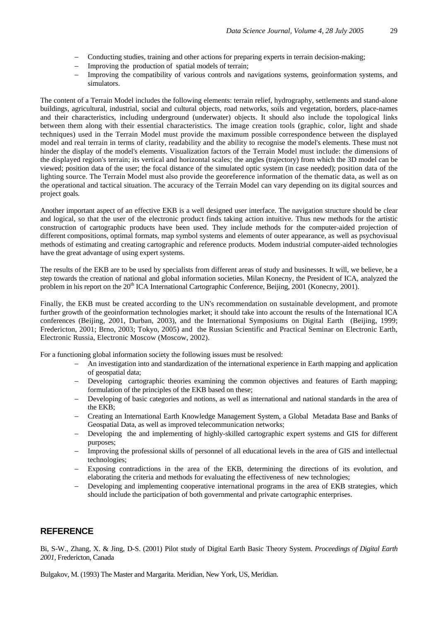- − Conducting studies, training and other actions for preparing experts in terrain decision-making;
- Improving the production of spatial models of terrain;
- Improving the compatibility of various controls and navigations systems, geoinformation systems, and simulators.

The content of a Terrain Model includes the following elements: terrain relief, hydrography, settlements and stand-alone buildings, agricultural, industrial, social and cultural objects, road networks, soils and vegetation, borders, place-names and their characteristics, including underground (underwater) objects. It should also include the topological links between them along with their essential characteristics. The image creation tools (graphic, color, light and shade techniques) used in the Terrain Model must provide the maximum possible correspondence between the displayed model and real terrain in terms of clarity, readability and the ability to recognise the model's elements. These must not hinder the display of the model's elements. Visualization factors of the Terrain Model must include: the dimensions of the displayed region's terrain; its vertical and horizontal scales; the angles (trajectory) from which the 3D model can be viewed; position data of the user; the focal distance of the simulated optic system (in case needed); position data of the lighting source. The Terrain Model must also provide the georeference information of the thematic data, as well as on the operational and tactical situation. The accuracy of the Terrain Model can vary depending on its digital sources and project goals.

Another important aspect of an effective EKB is a well designed user interface. The navigation structure should be clear and logical, so that the user of the electronic product finds taking action intuitive. Thus new methods for the artistic construction of cartographic products have been used. They include methods for the computer-aided projection of different compositions, optimal formats, map symbol systems and elements of outer appearance, as well as psychovisual methods of estimating and creating cartographic and reference products. Modem industrial computer-aided technologies have the great advantage of using expert systems.

The results of the EKB are to be used by specialists from different areas of study and businesses. It will, we believe, be a step towards the creation of national and global information societies. Milan Konecny, the President of ICA, analyzed the problem in his report on the 20<sup>th</sup> ICA International Cartographic Conference, Beijing, 2001 (Konecny, 2001).

Finally, the EKB must be created according to the UN's recommendation on sustainable development, and promote further growth of the geoinformation technologies market; it should take into account the results of the International ICA conferences (Beijing, 2001, Durban, 2003), and the International Symposiums on Digital Earth (Beijing, 1999; Fredericton, 2001; Brno, 2003; Tokyo, 2005) and the Russian Scientific and Practical Seminar on Electronic Earth, Electronic Russia, Electronic Moscow (Moscow, 2002).

For a functioning global information society the following issues must be resolved:

- − An investigation into and standardization of the international experience in Earth mapping and application of geospatial data;
- Developing cartographic theories examining the common objectives and features of Earth mapping; formulation of the principles of the EKB based on these;
- − Developing of basic categories and notions, as well as international and national standards in the area of the EKB;
- − Creating an International Earth Knowledge Management System, a Global Metadata Base and Banks of Geospatial Data, as well as improved telecommunication networks;
- Developing the and implementing of highly-skilled cartographic expert systems and GIS for different purposes;
- Improving the professional skills of personnel of all educational levels in the area of GIS and intellectual technologies;
- Exposing contradictions in the area of the EKB, determining the directions of its evolution, and elaborating the criteria and methods for evaluating the effectiveness of new technologies;
- Developing and implementing cooperative international programs in the area of EKB strategies, which should include the participation of both governmental and private cartographic enterprises.

## **REFERENCE**

Bi, S-W., Zhang, X. & Jing, D-S. (2001) Pilot study of Digital Earth Basic Theory System. *Proceedings of Digital Earth 2001,* Fredericton, Canada

Bulgakov, M. (1993) The Master and Margarita. Meridian, New York, US, Meridian.